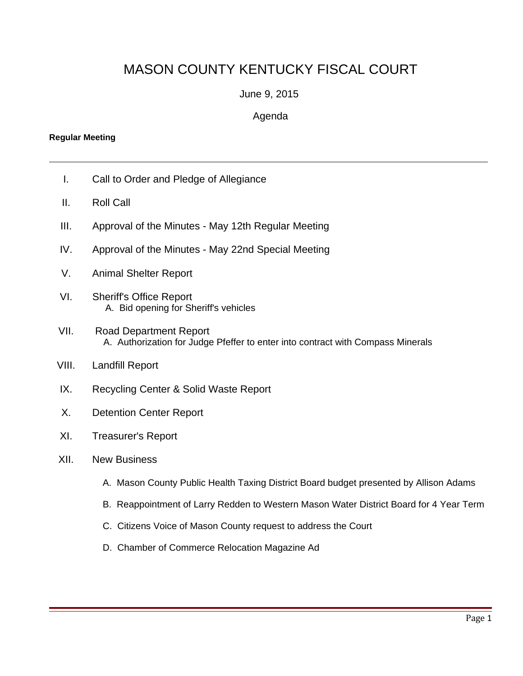## MASON COUNTY KENTUCKY FISCAL COURT

## June 9, 2015

## Agenda

## **Regular Meeting**

- I. Call to Order and Pledge of Allegiance
- II. Roll Call
- III. Approval of the Minutes May 12th Regular Meeting
- IV. Approval of the Minutes May 22nd Special Meeting
- V. Animal Shelter Report
- VI. Sheriff's Office Report A. Bid opening for Sheriff's vehicles
- VII. Road Department Report A. Authorization for Judge Pfeffer to enter into contract with Compass Minerals
- VIII. Landfill Report
- IX. Recycling Center & Solid Waste Report
- X. Detention Center Report
- XI. Treasurer's Report
- XII. New Business
	- A. Mason County Public Health Taxing District Board budget presented by Allison Adams
	- B. Reappointment of Larry Redden to Western Mason Water District Board for 4 Year Term
	- C. Citizens Voice of Mason County request to address the Court
	- D. Chamber of Commerce Relocation Magazine Ad